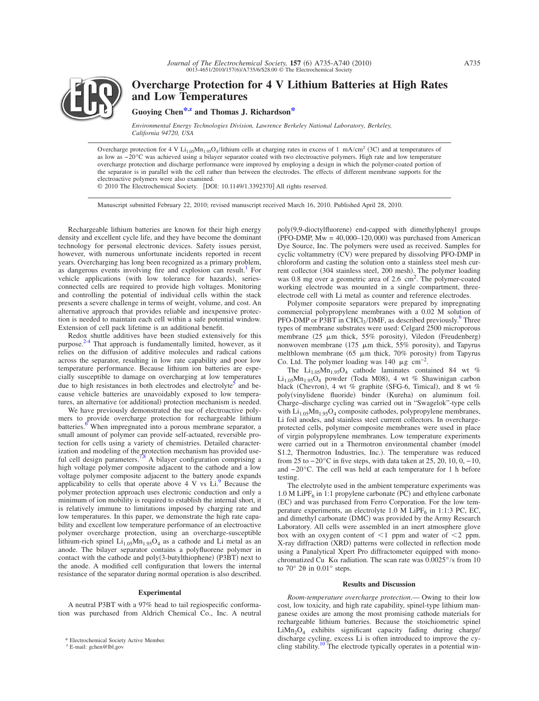

**Overcharge Protection for 4 V Lithium Batteries at High Rates and Low Temperatures**

**Guoying Che[n\\*](#page-0-0)[,z](#page-0-1) and Thomas J. Richardso[n\\*](#page-0-0)**

*Environmental Energy Technologies Division, Lawrence Berkeley National Laboratory, Berkeley, California 94720, USA*

Overcharge protection for 4 V  $Li_{1.05}Mn_{1.95}O_4/l$  thium cells at charging rates in excess of 1 mA/cm<sup>2</sup> (3C) and at temperatures of as low as −20°C was achieved using a bilayer separator coated with two electroactive polymers. High rate and low temperature overcharge protection and discharge performance were improved by employing a design in which the polymer-coated portion of the separator is in parallel with the cell rather than between the electrodes. The effects of different membrane supports for the electroactive polymers were also examined.

© 2010 The Electrochemical Society. [DOI: 10.1149/1.3392370] All rights reserved.

Manuscript submitted February 22, 2010; revised manuscript received March 16, 2010. Published April 28, 2010.

Rechargeable lithium batteries are known for their high energy density and excellent cycle life, and they have become the dominant technology for personal electronic devices. Safety issues persist, however, with numerous unfortunate incidents reported in recent years. Overcharging has long been recognized as a primary problem, as dangerous events involving fire and explosion can result.<sup>1</sup> For vehicle applications (with low tolerance for hazards), seriesconnected cells are required to provide high voltages. Monitoring and controlling the potential of individual cells within the stack presents a severe challenge in terms of weight, volume, and cost. An alternative approach that provides reliable and inexpensive protection is needed to maintain each cell within a safe potential window. Extension of cell pack lifetime is an additional benefit.

Redox shuttle additives have been studied extensively for this purpose[.2](#page-4-1)[-4](#page-4-2) That approach is fundamentally limited, however, as it relies on the diffusion of additive molecules and radical cations across the separator, resulting in low rate capability and poor low temperature performance. Because lithium ion batteries are especially susceptible to damage on overcharging at low temperatures due to high resistances in both electrodes and electrolyte $\delta$  and because vehicle batteries are unavoidably exposed to low temperatures, an alternative (or additional) protection mechanism is needed.

We have previously demonstrated the use of electroactive polymers to provide overcharge protection for rechargeable lithium batteries.<sup>6</sup> When impregnated into a porous membrane separator, a small amount of polymer can provide self-actuated, reversible protection for cells using a variety of chemistries. Detailed characterization and modeling of the protection mechanism has provided use-ful cell design parameters.<sup>7,[8](#page-4-6)</sup> A bilayer configuration comprising a high voltage polymer composite adjacent to the cathode and a low voltage polymer composite adjacent to the battery anode expands applicability to cells that operate above  $4 \text{ V}$  vs Li.<sup>9</sup> Because the polymer protection approach uses electronic conduction and only a minimum of ion mobility is required to establish the internal short, it is relatively immune to limitations imposed by charging rate and low temperatures. In this paper, we demonstrate the high rate capability and excellent low temperature performance of an electroactive polymer overcharge protection, using an overcharge-susceptible lithium-rich spinel  $Li_{1.05}Mn_{1.95}O_4$  as a cathode and Li metal as an anode. The bilayer separator contains a polyfluorene polymer in contact with the cathode and poly(3-butylthiophene) (P3BT) next to the anode. A modified cell configuration that lowers the internal resistance of the separator during normal operation is also described.

## **Experimental**

A neutral P3BT with a 97% head to tail regiospecific conformation was purchased from Aldrich Chemical Co., Inc. A neutral

<span id="page-0-1"></span><span id="page-0-0"></span><sup>z</sup> E-mail: gchen@lbl.gov

poly(9,9-dioctylfluorene) end-capped with dimethylphenyl groups  $($ PFO-DMP, Mw =  $40,000-120,000)$  was purchased from American Dye Source, Inc. The polymers were used as received. Samples for cyclic voltammetry (CV) were prepared by dissolving PFO-DMP in chloroform and casting the solution onto a stainless steel mesh current collector (304 stainless steel, 200 mesh). The polymer loading was 0.8 mg over a geometric area of 2.6 cm<sup>2</sup>. The polymer-coated working electrode was mounted in a single compartment, threeelectrode cell with Li metal as counter and reference electrodes.

Polymer composite separators were prepared by impregnating commercial polypropylene membranes with a 0.02 M solution of PFO-DMP or P3BT in  $CHCl<sub>3</sub>/DMF$ , as described previously.<sup>6</sup> Three types of membrane substrates were used: Celgard 2500 microporous membrane (25  $\mu$ m thick, 55% porosity), Viledon (Freudenberg) nonwoven membrane (175  $\mu$ m thick, 55% porosity), and Tapyrus meltblown membrane  $(65 \mu m)$  thick,  $70\%$  porosity) from Tapyrus Co. Ltd. The polymer loading was 140  $\mu$ g cm<sup>-2</sup>.

The  $Li_{1.05}Mn_{1.95}O_4$  cathode laminates contained 84 wt %  $\text{Li}_{1.05}\text{Mn}_{1.95}\text{O}_4$  powder (Toda M08), 4 wt % Shawinigan carbon black (Chevron), 4 wt % graphite (SFG-6, Timical), and 8 wt % poly(vinylidene fluoride) binder (Kureha) on aluminum foil. Charge–discharge cycling was carried out in "Swagelok"-type cells with  $Li_{1.05}Mn_{1.95}O_4$  composite cathodes, polypropylene membranes, Li foil anodes, and stainless steel current collectors. In overchargeprotected cells, polymer composite membranes were used in place of virgin polypropylene membranes. Low temperature experiments were carried out in a Thermotron environmental chamber (model S1.2, Thermotron Industries, Inc.). The temperature was reduced from 25 to  $-20^{\circ}$ C in five steps, with data taken at 25, 20, 10, 0,  $-10$ , and −20°C. The cell was held at each temperature for 1 h before testing.

The electrolyte used in the ambient temperature experiments was  $1.0$  M LiPF<sub>6</sub> in 1:1 propylene carbonate (PC) and ethylene carbonate (EC) and was purchased from Ferro Corporation. For the low temperature experiments, an electrolyte 1.0 M LiPF $_6$  in 1:1:3 PC, EC, and dimethyl carbonate (DMC) was provided by the Army Research Laboratory. All cells were assembled in an inert atmosphere glove box with an oxygen content of  $\leq 1$  ppm and water of  $\leq 2$  ppm. X-ray diffraction (XRD) patterns were collected in reflection mode using a Panalytical Xpert Pro diffractometer equipped with monochromatized Cu K $\alpha$  radiation. The scan rate was 0.0025°/s from 10 to  $70^{\circ}$  20 in  $0.01^{\circ}$  steps.

#### **Results and Discussion**

*Room-temperature overcharge protection*.— Owing to their low cost, low toxicity, and high rate capability, spinel-type lithium manganese oxides are among the most promising cathode materials for rechargeable lithium batteries. Because the stoichiometric spinel  $LiMn<sub>2</sub>O<sub>4</sub>$  exhibits significant capacity fading during charge/ discharge cycling, excess Li is often introduced to improve the cy-Electrochemical Society Active Member.<br><sup>z</sup> E-mail: gchen@lbl.gov **Electrode typically operates in a potential win-**<br><sup>z</sup> E-mail: gchen@lbl.gov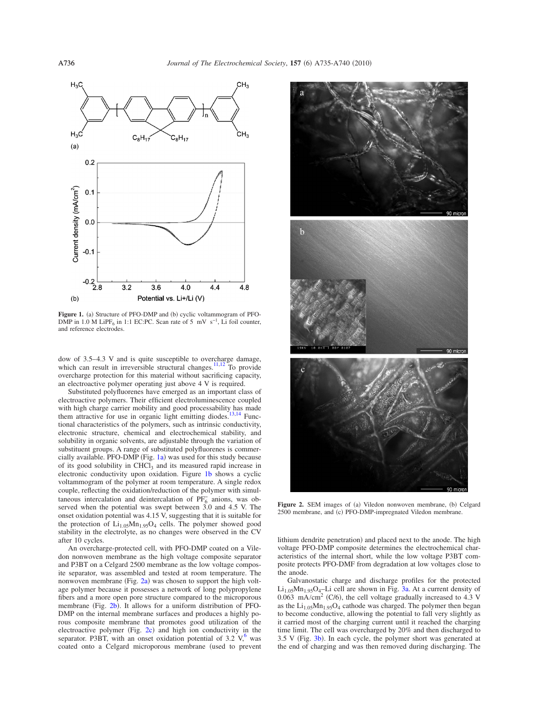<span id="page-1-0"></span>

Figure 1. (a) Structure of PFO-DMP and (b) cyclic voltammogram of PFO-DMP in 1.0 M LiPF<sub>6</sub> in 1:1 EC:PC. Scan rate of 5 mV s<sup>-1</sup>, Li foil counter, and reference electrodes.

dow of 3.5–4.3 V and is quite susceptible to overcharge damage, which can result in irreversible structural changes.<sup>11[,12](#page-4-10)</sup> To provide overcharge protection for this material without sacrificing capacity, an electroactive polymer operating just above 4 V is required.

Substituted polyfluorenes have emerged as an important class of electroactive polymers. Their efficient electroluminescence coupled with high charge carrier mobility and good processability has made them attractive for use in organic light emitting diodes.<sup>13[,14](#page-5-1)</sup> Functional characteristics of the polymers, such as intrinsic conductivity, electronic structure, chemical and electrochemical stability, and solubility in organic solvents, are adjustable through the variation of substituent groups. A range of substituted polyfluorenes is commercially available. PFO-DMP (Fig.  $1a$ ) was used for this study because of its good solubility in CHCl<sub>3</sub> and its measured rapid increase in electronic conductivity upon oxidation. Figure [1b](#page-1-0) shows a cyclic voltammogram of the polymer at room temperature. A single redox couple, reflecting the oxidation/reduction of the polymer with simultaneous intercalation and deintercalation of  $\overline{PF_6}$  anions, was observed when the potential was swept between 3.0 and 4.5 V. The onset oxidation potential was 4.15 V, suggesting that it is suitable for the protection of  $Li<sub>1.05</sub>Mn<sub>1.95</sub>O<sub>4</sub>$  cells. The polymer showed good stability in the electrolyte, as no changes were observed in the CV after 10 cycles.

An overcharge-protected cell, with PFO-DMP coated on a Viledon nonwoven membrane as the high voltage composite separator and P3BT on a Celgard 2500 membrane as the low voltage composite separator, was assembled and tested at room temperature. The nonwoven membrane (Fig. [2a](#page-1-1)) was chosen to support the high voltage polymer because it possesses a network of long polypropylene fibers and a more open pore structure compared to the microporous membrane (Fig. [2b](#page-1-1)). It allows for a uniform distribution of PFO-DMP on the internal membrane surfaces and produces a highly porous composite membrane that promotes good utilization of the electroactive polymer (Fig.  $2c$ ) and high ion conductivity in the separator. P3BT, with an onset oxidation potential of  $3.2 \text{ V}$ , was coated onto a Celgard microporous membrane (used to prevent

<span id="page-1-1"></span>

Figure 2. SEM images of (a) Viledon nonwoven membrane, (b) Celgard 2500 membrane, and (c) PFO-DMP-impregnated Viledon membrane.

lithium dendrite penetration) and placed next to the anode. The high voltage PFO-DMP composite determines the electrochemical characteristics of the internal short, while the low voltage P3BT composite protects PFO-DMF from degradation at low voltages close to the anode.

Galvanostatic charge and discharge profiles for the protected  $Li_{1.05}Mn_{1.95}O_4$ -Li cell are shown in Fig. [3a.](#page-2-0) At a current density of  $0.063$  mA/cm<sup>2</sup> (C/6), the cell voltage gradually increased to 4.3 V as the  $Li_{1.05}Mn_{1.95}O_4$  cathode was charged. The polymer then began to become conductive, allowing the potential to fall very slightly as it carried most of the charging current until it reached the charging time limit. The cell was overcharged by 20% and then discharged to  $3.5$  V (Fig.  $3b$ ). In each cycle, the polymer short was generated at the end of charging and was then removed during discharging. The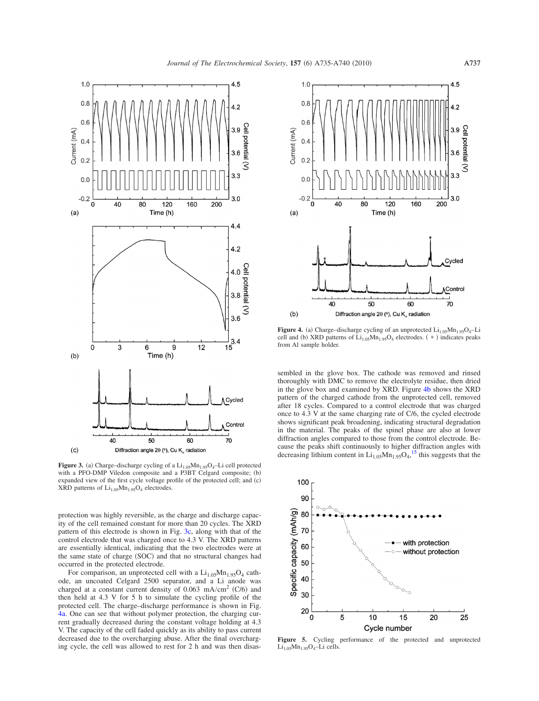<span id="page-2-0"></span>

**Figure 3.** (a) Charge–discharge cycling of a  $Li_{1.05}Mn_{1.95}O_4$ –Li cell protected with a PFO-DMP Viledon composite and a P3BT Celgard composite; (b) expanded view of the first cycle voltage profile of the protected cell; and (c) XRD patterns of  $Li_{1.05}Mn_{1.95}O_4$  electrodes.

protection was highly reversible, as the charge and discharge capacity of the cell remained constant for more than 20 cycles. The XRD pattern of this electrode is shown in Fig. [3c,](#page-2-0) along with that of the control electrode that was charged once to 4.3 V. The XRD patterns are essentially identical, indicating that the two electrodes were at the same state of charge (SOC) and that no structural changes had occurred in the protected electrode.

For comparison, an unprotected cell with a  $Li_{1.05}Mn_{1.95}O_4$  cathode, an uncoated Celgard 2500 separator, and a Li anode was charged at a constant current density of  $0.063 \text{ mA/cm}^2$  (C/6) and then held at 4.3 V for 5 h to simulate the cycling profile of the protected cell. The charge–discharge performance is shown in Fig. [4a.](#page-2-1) One can see that without polymer protection, the charging current gradually decreased during the constant voltage holding at 4.3 V. The capacity of the cell faded quickly as its ability to pass current decreased due to the overcharging abuse. After the final overcharging cycle, the cell was allowed to rest for 2 h and was then disas-

<span id="page-2-1"></span>

**Figure 4.** (a) Charge–discharge cycling of an unprotected  $Li_{1.05}Mn_{1.95}O_4$ –Li cell and (b) XRD patterns of  $Li_{1.05}Mn_{1.95}O_4$  electrodes.  $(*)$  indicates peaks from Al sample holder.

sembled in the glove box. The cathode was removed and rinsed thoroughly with DMC to remove the electrolyte residue, then dried in the glove box and examined by XRD. Figure [4b](#page-2-1) shows the XRD pattern of the charged cathode from the unprotected cell, removed after 18 cycles. Compared to a control electrode that was charged once to 4.3 V at the same charging rate of C/6, the cycled electrode shows significant peak broadening, indicating structural degradation in the material. The peaks of the spinel phase are also at lower diffraction angles compared to those from the control electrode. Because the peaks shift continuously to higher diffraction angles with decreasing lithium content in  $Li_{1.05}Mn_{1.95}O_4$ ,<sup>[15](#page-5-2)</sup> this suggests that the

<span id="page-2-2"></span>

**Figure 5.** Cycling performance of the protected and unprotected  $Li_{1.05}Mn_{1.95}O_4$ -Li cells.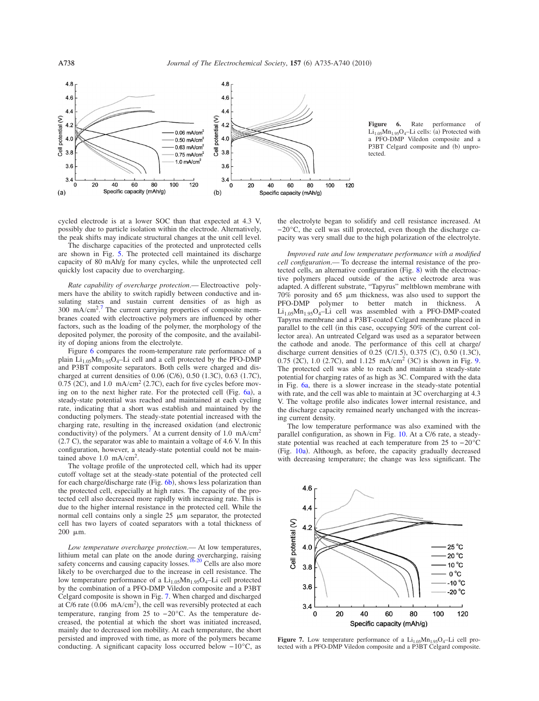<span id="page-3-0"></span>

**Figure 6.** Rate performance of  $Li_{1.05}Mn_{1.95}O_4$ -Li cells: (a) Protected with a PFO-DMP Viledon composite and a P3BT Celgard composite and (b) unprotected.

cycled electrode is at a lower SOC than that expected at 4.3 V, possibly due to particle isolation within the electrode. Alternatively, the peak shifts may indicate structural changes at the unit cell level.

The discharge capacities of the protected and unprotected cells are shown in Fig. [5.](#page-2-2) The protected cell maintained its discharge capacity of 80 mAh/g for many cycles, while the unprotected cell quickly lost capacity due to overcharging.

*Rate capability of overcharge protection*.— Electroactive polymers have the ability to switch rapidly between conductive and insulating states and sustain current densities of as high as  $300 \text{ mA/cm}^2$ .<sup>[7](#page-4-5)</sup> The current carrying properties of composite membranes coated with electroactive polymers are influenced by other factors, such as the loading of the polymer, the morphology of the deposited polymer, the porosity of the composite, and the availability of doping anions from the electrolyte.

Figure [6](#page-3-0) compares the room-temperature rate performance of a plain  $Li_{1.05}Mn_{1.95}O_4$ -Li cell and a cell protected by the PFO-DMP and P3BT composite separators. Both cells were charged and discharged at current densities of  $0.06$  (C/6),  $0.50$  (1.3C),  $0.63$  (1.7C),  $0.75$  (2C), and 1.0 mA/cm<sup>2</sup> (2.7C), each for five cycles before mov-ing on to the next higher rate. For the protected cell (Fig. [6a](#page-3-0)), a steady-state potential was reached and maintained at each cycling rate, indicating that a short was establish and maintained by the conducting polymers. The steady-state potential increased with the charging rate, resulting in the increased oxidation (and electronic conductivity) of the polymers.<sup>7</sup> At a current density of 1.0 mA/cm<sup>2</sup>  $(2.7 \text{ C})$ , the separator was able to maintain a voltage of 4.6 V. In this configuration, however, a steady-state potential could not be maintained above 1.0 mA/cm<sup>2</sup>.

The voltage profile of the unprotected cell, which had its upper cutoff voltage set at the steady-state potential of the protected cell for each charge/discharge rate (Fig. [6b](#page-3-0)), shows less polarization than the protected cell, especially at high rates. The capacity of the protected cell also decreased more rapidly with increasing rate. This is due to the higher internal resistance in the protected cell. While the normal cell contains only a single  $25 \mu m$  separator, the protected cell has two layers of coated separators with a total thickness of 200 m.

*Low temperature overcharge protection*.— At low temperatures, lithium metal can plate on the anode during overcharging, raising safety concerns and causing capacity losses.<sup>16[-20](#page-5-4)</sup> Cells are also more likely to be overcharged due to the increase in cell resistance. The low temperature performance of a  $Li<sub>1.05</sub>Mn<sub>1.95</sub>O<sub>4</sub>–Li$  cell protected by the combination of a PFO-DMP Viledon composite and a P3BT Celgard composite is shown in Fig. [7.](#page-3-1) When charged and discharged at  $C/6$  rate (0.06 mA/cm<sup>2</sup>), the cell was reversibly protected at each temperature, ranging from 25 to −20°C. As the temperature decreased, the potential at which the short was initiated increased, mainly due to decreased ion mobility. At each temperature, the short persisted and improved with time, as more of the polymers became conducting. A significant capacity loss occurred below −10°C, as

the electrolyte began to solidify and cell resistance increased. At −20°C, the cell was still protected, even though the discharge capacity was very small due to the high polarization of the electrolyte.

*Improved rate and low temperature performance with a modified cell configuration*.— To decrease the internal resistance of the protected cells, an alternative configuration (Fig.  $8$ ) with the electroactive polymers placed outside of the active electrode area was adapted. A different substrate, "Tapyrus" meltblown membrane with  $70\%$  porosity and 65  $\mu$ m thickness, was also used to support the PFO-DMP polymer to better match in thickness. A  $Li_{1.05}Mn_{1.95}O_4$ -Li cell was assembled with a PFO-DMP-coated Tapyrus membrane and a P3BT-coated Celgard membrane placed in parallel to the cell (in this case, occupying 50% of the current collector area). An untreated Celgard was used as a separator between the cathode and anode. The performance of this cell at charge/ discharge current densities of  $0.25$  (C/1.5),  $0.375$  (C),  $0.50$  (1.3C), 0.75 (2C), 1.0 (2.7C), and 1.125 mA/cm<sup>2</sup> (3C) is shown in Fig. [9.](#page-4-12) The protected cell was able to reach and maintain a steady-state potential for charging rates of as high as 3C. Compared with the data in Fig. [6a,](#page-3-0) there is a slower increase in the steady-state potential with rate, and the cell was able to maintain at 3C overcharging at 4.3 V. The voltage profile also indicates lower internal resistance, and the discharge capacity remained nearly unchanged with the increasing current density.

The low temperature performance was also examined with the parallel configuration, as shown in Fig. [10.](#page-4-13) At a C/6 rate, a steadystate potential was reached at each temperature from 25 to −20°C (Fig. [10a](#page-4-13)). Although, as before, the capacity gradually decreased with decreasing temperature; the change was less significant. The

<span id="page-3-1"></span>4.6  $4.4$ Cell potential (V)  $4.2$  $4.0$  $25^{\circ}$ C 20 °C  $10^{\circ}$ C  $3.8$  $0\,^{\circ}\mathrm{C}$  $-10^{\circ}$ C 3.6  $-20^{\circ}$ C  $3.4$ 20 100 120  $\mathbf 0$ 40 60 80 Specific capacity (mAh/g)

**Figure 7.** Low temperature performance of a  $Li_{1.05}Mn_{1.95}O_4$ -Li cell protected with a PFO-DMP Viledon composite and a P3BT Celgard composite.

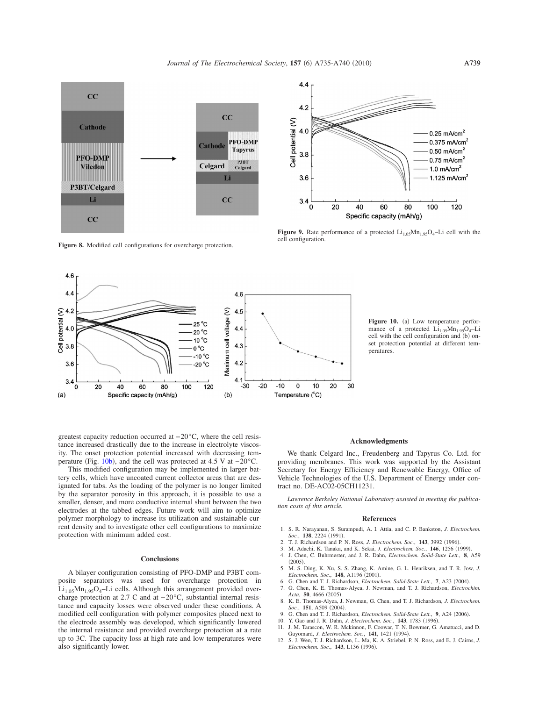cell configuration.

<span id="page-4-11"></span>

**Figure 8.** Modified cell configurations for overcharge protection.

<span id="page-4-13"></span>

Figure 10. (a) Low temperature performance of a protected  $Li_{1.05}Mn_{1.95}O_4$ -Li cell with the cell configuration and (b) onset protection potential at different temperatures.

greatest capacity reduction occurred at −20°C, where the cell resistance increased drastically due to the increase in electrolyte viscosity. The onset protection potential increased with decreasing tem-perature (Fig. [10b](#page-4-13)), and the cell was protected at 4.5 V at  $-20^{\circ}$ C.

This modified configuration may be implemented in larger battery cells, which have uncoated current collector areas that are designated for tabs. As the loading of the polymer is no longer limited by the separator porosity in this approach, it is possible to use a smaller, denser, and more conductive internal shunt between the two electrodes at the tabbed edges. Future work will aim to optimize polymer morphology to increase its utilization and sustainable current density and to investigate other cell configurations to maximize protection with minimum added cost.

### **Conclusions**

A bilayer configuration consisting of PFO-DMP and P3BT composite separators was used for overcharge protection in  $Li_{1.05}Mn_{1.95}O_4$ -Li cells. Although this arrangement provided overcharge protection at 2.7 C and at −20°C, substantial internal resistance and capacity losses were observed under these conditions. A modified cell configuration with polymer composites placed next to the electrode assembly was developed, which significantly lowered the internal resistance and provided overcharge protection at a rate up to 3C. The capacity loss at high rate and low temperatures were also significantly lower.

# **Acknowledgments**

We thank Celgard Inc., Freudenberg and Tapyrus Co. Ltd. for providing membranes. This work was supported by the Assistant Secretary for Energy Efficiency and Renewable Energy, Office of Vehicle Technologies of the U.S. Department of Energy under contract no. DE-AC02-05CH11231.

*Lawrence Berkeley National Laboratory assisted in meeting the publication costs of this article.*

#### **References**

- 1. S. R. Narayanan, S. Surampudi, A. I. Attia, and C. P. Bankston, *J. Electrochem. Soc.*, **138**, 2224 (1991)
- Soc., **138**, 2224 (1991).<br>2. T. J. Richardson and P. N. Ross, *J. Electrochem. Soc.*, **143**, 3992 (1996).
- 3. M. Adachi, K. Tanaka, and K. Sekai, *J. Electrochem. Soc.*, 146, 1256 (1999).
- <span id="page-4-1"></span><span id="page-4-0"></span>4. J. Chen, C. Buhrmester, and J. R. Dahn, *Electrochem. Solid-State Lett.*, **8**, A59  $(2005).$
- 5. M. S. Ding, K. Xu, S. S. Zhang, K. Amine, G. L. Henriksen, and T. R. Jow, *J.* Electrochem. Soc., **148**, A1196 (2001).<br>6. G. Chen and T. J. Richardson, *Electrochem. Solid-State Lett.*, **7**, A23 (2004).
- <span id="page-4-3"></span><span id="page-4-2"></span>7. G. Chen, K. E. Thomas-Alyea, J. Newman, and T. J. Richardson, *Electrochim.* Acta, **50**, 4666 (2005).
- <span id="page-4-4"></span>8. K. E. Thomas-Alyea, J. Newman, G. Chen, and T. J. Richardson, *J. Electrochem. Soc.*, **151**, A509 (2004).
- <span id="page-4-5"></span>9. G. Chen and T. J. Richardson, *Electrochem. Solid-State Lett.*, 9, A24 (2006).
- <span id="page-4-6"></span>10. Y. Gao and J. R. Dahn, *J. Electrochem. Soc.*, 143, 1783 (1996).
- 11. J. M. Tarascon, W. R. Mckinnon, F. Coowar, T. N. Bowmer, G. Amatucci, and D. Guyomard, *J. Electrochem. Soc.*, **141**, 1421 1994-.
- <span id="page-4-10"></span><span id="page-4-9"></span><span id="page-4-8"></span><span id="page-4-7"></span>12. S. J. Wen, T. J. Richardson, L. Ma, K. A. Striebel, P. N. Ross, and E. J. Cairns, *J.* Electrochem. Soc., 143, L136 (1996).



<span id="page-4-12"></span>